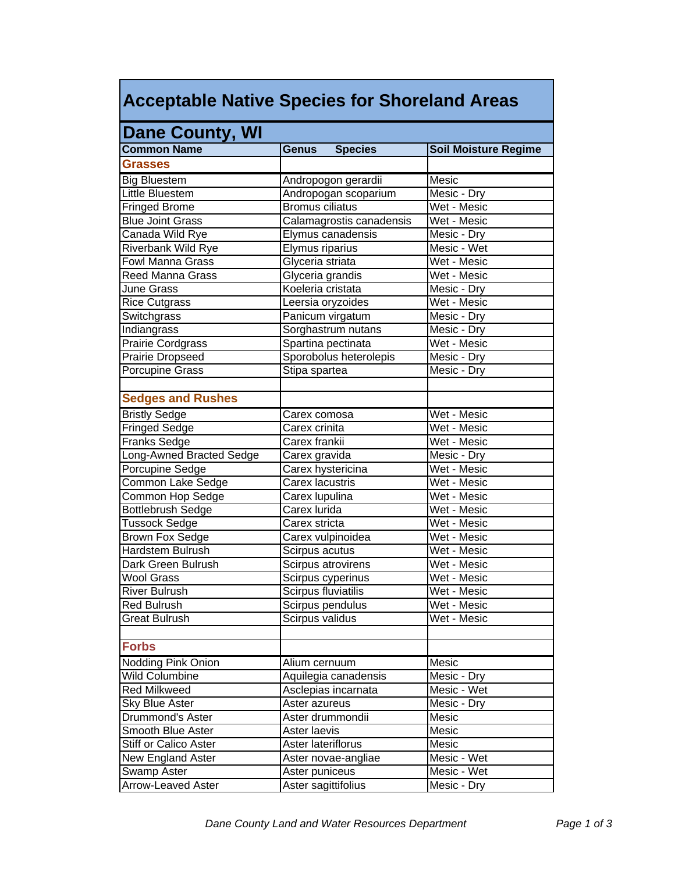## **Acceptable Native Species for Shoreland Areas**

| <b>Dane County, WI</b>   |                                |                             |  |  |  |  |
|--------------------------|--------------------------------|-----------------------------|--|--|--|--|
| <b>Common Name</b>       | <b>Genus</b><br><b>Species</b> | <b>Soil Moisture Regime</b> |  |  |  |  |
| <b>Grasses</b>           |                                |                             |  |  |  |  |
| <b>Big Bluestem</b>      | Andropogon gerardii            | Mesic                       |  |  |  |  |
| <b>Little Bluestem</b>   | Andropogan scoparium           | Mesic - Dry                 |  |  |  |  |
| <b>Fringed Brome</b>     | <b>Bromus ciliatus</b>         | Wet - Mesic                 |  |  |  |  |
| <b>Blue Joint Grass</b>  | Calamagrostis canadensis       | Wet - Mesic                 |  |  |  |  |
| Canada Wild Rye          | Elymus canadensis              | Mesic - Dry                 |  |  |  |  |
| Riverbank Wild Rye       | Elymus riparius                | Mesic - Wet                 |  |  |  |  |
| Fowl Manna Grass         | Glyceria striata               | Wet - Mesic                 |  |  |  |  |
| Reed Manna Grass         | Glyceria grandis               | Wet - Mesic                 |  |  |  |  |
| June Grass               | Koeleria cristata              | Mesic - Dry                 |  |  |  |  |
| <b>Rice Cutgrass</b>     | Leersia oryzoides              | Wet - Mesic                 |  |  |  |  |
| Switchgrass              | Panicum virgatum               | Mesic - Dry                 |  |  |  |  |
| Indiangrass              | Sorghastrum nutans             | Mesic - Dry                 |  |  |  |  |
| Prairie Cordgrass        | Spartina pectinata             | Wet - Mesic                 |  |  |  |  |
| <b>Prairie Dropseed</b>  | Sporobolus heterolepis         | Mesic - Dry                 |  |  |  |  |
| Porcupine Grass          | Stipa spartea                  | Mesic - Dry                 |  |  |  |  |
|                          |                                |                             |  |  |  |  |
| <b>Sedges and Rushes</b> |                                |                             |  |  |  |  |
| <b>Bristly Sedge</b>     | Carex comosa                   | Wet - Mesic                 |  |  |  |  |
| <b>Fringed Sedge</b>     | Carex crinita                  | Wet - Mesic                 |  |  |  |  |
| <b>Franks Sedge</b>      | Carex frankii                  | Wet - Mesic                 |  |  |  |  |
| Long-Awned Bracted Sedge | Carex gravida                  | Mesic - Dry                 |  |  |  |  |
| Porcupine Sedge          | Carex hystericina              | Wet - Mesic                 |  |  |  |  |
| Common Lake Sedge        | Carex lacustris                | Wet - Mesic                 |  |  |  |  |
| Common Hop Sedge         | Carex lupulina                 | Wet - Mesic                 |  |  |  |  |
| Bottlebrush Sedge        | Carex lurida                   | Wet - Mesic                 |  |  |  |  |
| Tussock Sedge            | Carex stricta                  | Wet - Mesic                 |  |  |  |  |
| <b>Brown Fox Sedge</b>   | Carex vulpinoidea              | Wet - Mesic                 |  |  |  |  |
| Hardstem Bulrush         | Scirpus acutus                 | Wet - Mesic                 |  |  |  |  |
| Dark Green Bulrush       | Scirpus atrovirens             | Wet - Mesic                 |  |  |  |  |
| <b>Wool Grass</b>        | Scirpus cyperinus              | Wet - Mesic                 |  |  |  |  |
| <b>River Bulrush</b>     | Scirpus fluviatilis            | Wet - Mesic                 |  |  |  |  |
| <b>Red Bulrush</b>       | Scirpus pendulus               | Wet - Mesic                 |  |  |  |  |
| Great Bulrush            | Scirpus validus                | Wet - Mesic                 |  |  |  |  |
| <b>Forbs</b>             |                                |                             |  |  |  |  |
| Nodding Pink Onion       | Alium cernuum                  | Mesic                       |  |  |  |  |
| <b>Wild Columbine</b>    | Aquilegia canadensis           | Mesic - Dry                 |  |  |  |  |
| <b>Red Milkweed</b>      | Asclepias incarnata            | Mesic - Wet                 |  |  |  |  |
| Sky Blue Aster           | Aster azureus                  | Mesic - Dry                 |  |  |  |  |
| Drummond's Aster         | Aster drummondii               | Mesic                       |  |  |  |  |
| Smooth Blue Aster        | Aster laevis                   | Mesic                       |  |  |  |  |
| Stiff or Calico Aster    | Aster lateriflorus             | Mesic                       |  |  |  |  |
| New England Aster        | Aster novae-angliae            | Mesic - Wet                 |  |  |  |  |
| Swamp Aster              | Aster puniceus                 | Mesic - Wet                 |  |  |  |  |
| Arrow-Leaved Aster       | Aster sagittifolius            | Mesic - Dry                 |  |  |  |  |
|                          |                                |                             |  |  |  |  |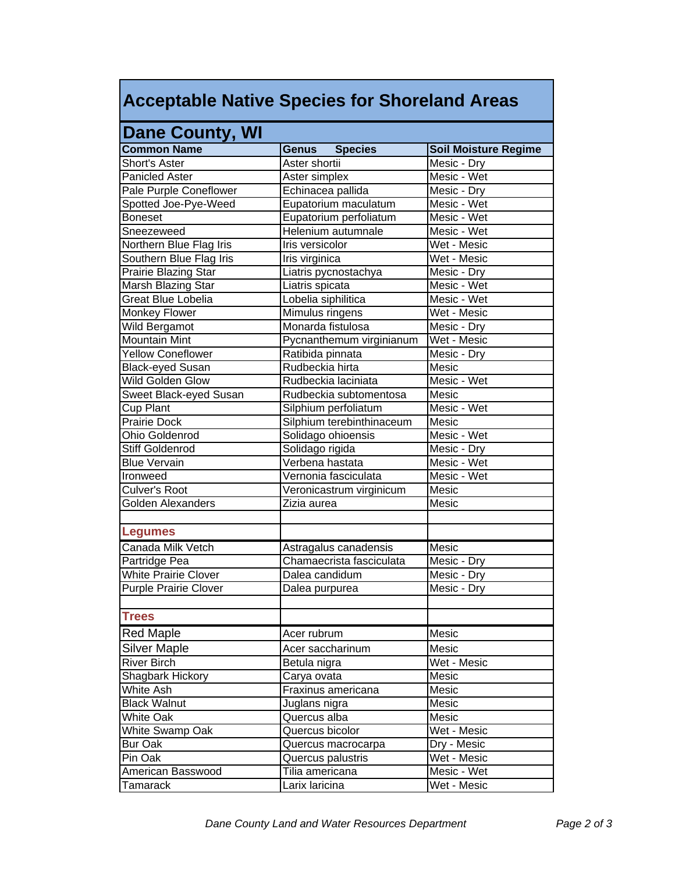## **Acceptable Native Species for Shoreland Areas**

| <b>Dane County, WI</b>       |                                   |                             |  |  |  |
|------------------------------|-----------------------------------|-----------------------------|--|--|--|
| <b>Common Name</b>           | <b>Genus</b><br><b>Species</b>    | <b>Soil Moisture Regime</b> |  |  |  |
| <b>Short's Aster</b>         | Aster shortii                     | Mesic - Dry                 |  |  |  |
| <b>Panicled Aster</b>        | Aster simplex                     | Mesic - Wet                 |  |  |  |
| Pale Purple Coneflower       | Echinacea pallida                 | Mesic - Dry                 |  |  |  |
| Spotted Joe-Pye-Weed         | Eupatorium maculatum              | Mesic - Wet                 |  |  |  |
| <b>Boneset</b>               | Eupatorium perfoliatum            | Mesic - Wet                 |  |  |  |
| Sneezeweed                   | Helenium autumnale                | Mesic - Wet                 |  |  |  |
| Northern Blue Flag Iris      | Iris versicolor                   | Wet - Mesic                 |  |  |  |
| Southern Blue Flag Iris      | Iris virginica                    | Wet - Mesic                 |  |  |  |
| Prairie Blazing Star         | Liatris pycnostachya              | Mesic - Dry                 |  |  |  |
| Marsh Blazing Star           | Liatris spicata                   | Mesic - Wet                 |  |  |  |
| Great Blue Lobelia           | Lobelia siphilitica               | Mesic - Wet                 |  |  |  |
| <b>Monkey Flower</b>         | Mimulus ringens                   | Wet - Mesic                 |  |  |  |
| Wild Bergamot                | Monarda fistulosa                 | Mesic - Dry                 |  |  |  |
| <b>Mountain Mint</b>         | Pycnanthemum virginianum          | Wet - Mesic                 |  |  |  |
| <b>Yellow Coneflower</b>     | Ratibida pinnata                  | Mesic - Dry                 |  |  |  |
| <b>Black-eyed Susan</b>      | Rudbeckia hirta                   | Mesic                       |  |  |  |
| Wild Golden Glow             | Rudbeckia laciniata               | Mesic - Wet                 |  |  |  |
| Sweet Black-eyed Susan       | Rudbeckia subtomentosa            | Mesic                       |  |  |  |
| Cup Plant                    | Silphium perfoliatum              | Mesic - Wet                 |  |  |  |
| <b>Prairie Dock</b>          | Silphium terebinthinaceum         | Mesic                       |  |  |  |
| Ohio Goldenrod               | Solidago ohioensis                | Mesic - Wet                 |  |  |  |
| Stiff Goldenrod              | Solidago rigida                   | Mesic - Dry                 |  |  |  |
| <b>Blue Vervain</b>          | Verbena hastata                   | Mesic - Wet                 |  |  |  |
| <b>Ironweed</b>              | Vernonia fasciculata              | Mesic - Wet                 |  |  |  |
| Culver's Root                | Veronicastrum virginicum<br>Mesic |                             |  |  |  |
| Golden Alexanders            | Zizia aurea                       | Mesic                       |  |  |  |
|                              |                                   |                             |  |  |  |
| <b>Legumes</b>               |                                   |                             |  |  |  |
| Canada Milk Vetch            | Astragalus canadensis             | Mesic                       |  |  |  |
| Partridge Pea                | Chamaecrista fasciculata          | Mesic - Dry                 |  |  |  |
| White Prairie Clover         | Dalea candidum                    | Mesic - Dry                 |  |  |  |
| <b>Purple Prairie Clover</b> | Dalea purpurea                    | Mesic - Dry                 |  |  |  |
|                              |                                   |                             |  |  |  |
| <b>Trees</b>                 |                                   |                             |  |  |  |
| <b>Red Maple</b>             | Acer rubrum                       | Mesic                       |  |  |  |
| Silver Maple                 | Acer saccharinum                  | Mesic                       |  |  |  |
| <b>River Birch</b>           | Betula nigra                      | Wet - Mesic                 |  |  |  |
| Shagbark Hickory             | Carya ovata                       | Mesic                       |  |  |  |
| White Ash                    | Fraxinus americana                | Mesic                       |  |  |  |
| <b>Black Walnut</b>          | Juglans nigra                     | Mesic                       |  |  |  |
| White Oak                    | Quercus alba                      | Mesic                       |  |  |  |
| White Swamp Oak              | Quercus bicolor                   | Wet - Mesic                 |  |  |  |
| <b>Bur Oak</b>               | Quercus macrocarpa                | Dry - Mesic                 |  |  |  |
| Pin Oak                      | Quercus palustris                 | Wet - Mesic                 |  |  |  |
| American Basswood            | Mesic - Wet<br>Tilia americana    |                             |  |  |  |
| Tamarack                     | Larix laricina                    | Wet - Mesic                 |  |  |  |